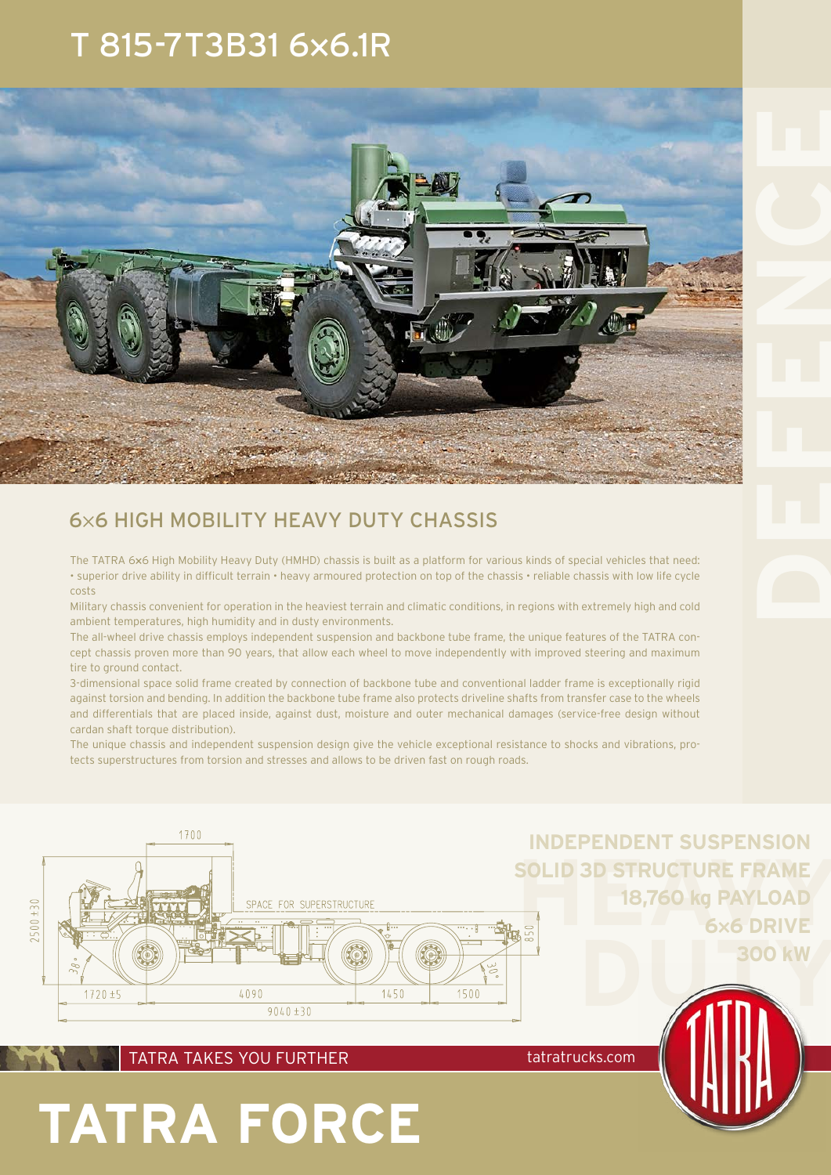## T 815-7T3B31 6**×**6.1R



### 6×6 HIGH MOBILITY HEAVY DUTY CHASSIS

The TATRA 6**×**6 High Mobility Heavy Duty (HMHD) chassis is built as a platform for various kinds of special vehicles that need: • superior drive ability in difficult terrain • heavy armoured protection on top of the chassis • reliable chassis with low life cycle costs

Military chassis convenient for operation in the heaviest terrain and climatic conditions, in regions with extremely high and cold ambient temperatures, high humidity and in dusty environments.

The all-wheel drive chassis employs independent suspension and backbone tube frame, the unique features of the TATRA concept chassis proven more than 90 years, that allow each wheel to move independently with improved steering and maximum tire to ground contact.

3-dimensional space solid frame created by connection of backbone tube and conventional ladder frame is exceptionally rigid against torsion and bending. In addition the backbone tube frame also protects driveline shafts from transfer case to the wheels and differentials that are placed inside, against dust, moisture and outer mechanical damages (service-free design without cardan shaft torque distribution).

The unique chassis and independent suspension design give the vehicle exceptional resistance to shocks and vibrations, protects superstructures from torsion and stresses and allows to be driven fast on rough roads.



TATRA TAKES YOU FURTHER tatratrucks.com

**TATRA FORCE**